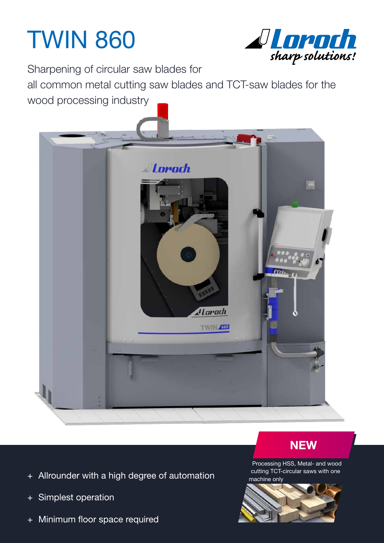## TWIN 860



Sharpening of circular saw blades for

all common metal cutting saw blades and TCT-saw blades for the wood processing industry



- + Allrounder with a high degree of automation
- + Simplest operation
- + Minimum floor space required



Processing HSS, Metal- and wood cutting TCT-circular saws with one machine only